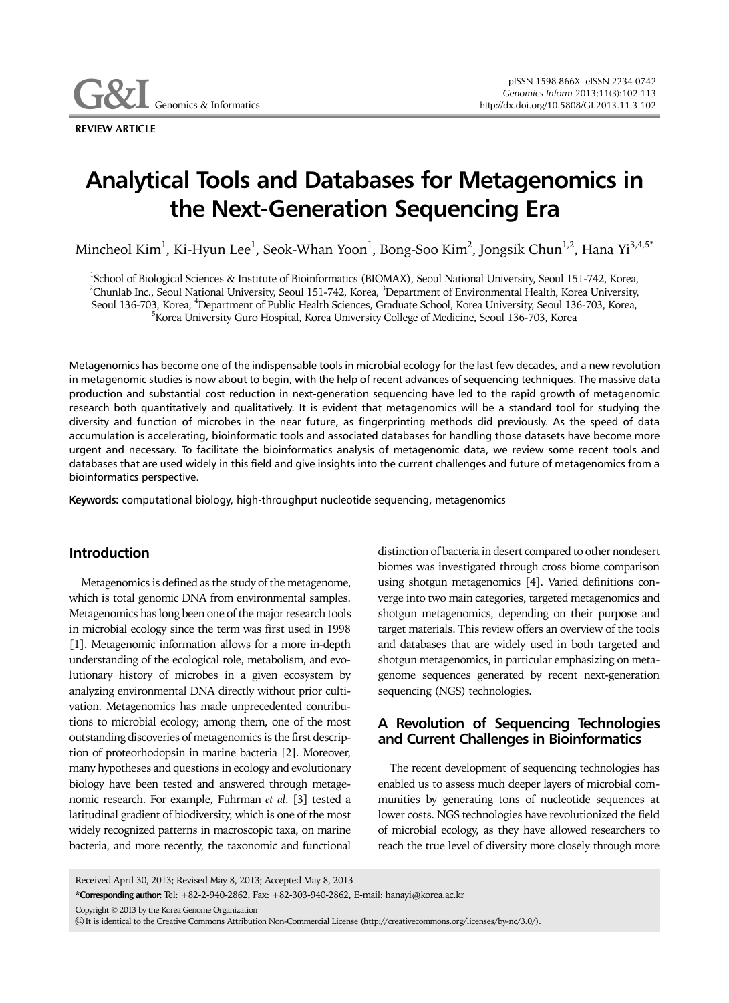**Genomics & Informatics** 

**REVIEW ARTICLE** 

# **Analytical Tools and Databases for Metagenomics in the Next-Generation Sequencing Era**

Mincheol Kim $^{\rm l}$ , Ki-Hyun Lee $^{\rm l}$ , Seok-Whan Yoon $^{\rm l}$ , Bong-Soo Kim $^{\rm 2}$ , Jongsik Chun $^{\rm l,2}$ , Hana Yi $^{\rm 3,4,5*}$ 

<sup>1</sup>School of Biological Sciences & Institute of Bioinformatics (BIOMAX), Seoul National University, Seoul 151-742, Korea, <sup>2</sup>Chunleb Inc., Seoul National University, Seoul National University, 2001 Chunlab Inc., Seoul National University, Seoul 151-742, Korea, <sup>3</sup>Department of Environmental Health, Korea University, Seoul 136-703, Korea, <sup>4</sup>Department of Public Health Sciences, Graduate School, Korea University, Seoul 136-703, Korea,  $5$ Korea University Guro Hospital, Korea University College of Medicine, Seoul 136-703, Korea

Metagenomics has become one of the indispensable tools in microbial ecology for the last few decades, and a new revolution in metagenomic studies is now about to begin, with the help of recent advances of sequencing techniques. The massive data production and substantial cost reduction in next-generation sequencing have led to the rapid growth of metagenomic research both quantitatively and qualitatively. It is evident that metagenomics will be a standard tool for studying the diversity and function of microbes in the near future, as fingerprinting methods did previously. As the speed of data accumulation is accelerating, bioinformatic tools and associated databases for handling those datasets have become more urgent and necessary. To facilitate the bioinformatics analysis of metagenomic data, we review some recent tools and databases that are used widely in this field and give insights into the current challenges and future of metagenomics from a bioinformatics perspective.

**Keywords:** computational biology, high-throughput nucleotide sequencing, metagenomics

# **Introduction**

Metagenomics is defined as the study of the metagenome, which is total genomic DNA from environmental samples. Metagenomics has long been one of the major research tools in microbial ecology since the term was first used in 1998 [1]. Metagenomic information allows for a more in-depth understanding of the ecological role, metabolism, and evolutionary history of microbes in a given ecosystem by analyzing environmental DNA directly without prior cultivation. Metagenomics has made unprecedented contributions to microbial ecology; among them, one of the most outstanding discoveries of metagenomics is the first description of proteorhodopsin in marine bacteria [2]. Moreover, many hypotheses and questions in ecology and evolutionary biology have been tested and answered through metagenomic research. For example, Fuhrman *et al*. [3] tested a latitudinal gradient of biodiversity, which is one of the most widely recognized patterns in macroscopic taxa, on marine bacteria, and more recently, the taxonomic and functional

distinction of bacteria in desert compared to other nondesert biomes was investigated through cross biome comparison using shotgun metagenomics [4]. Varied definitions converge into two main categories, targeted metagenomics and shotgun metagenomics, depending on their purpose and target materials. This review offers an overview of the tools and databases that are widely used in both targeted and shotgun metagenomics, in particular emphasizing on metagenome sequences generated by recent next-generation sequencing (NGS) technologies.

# **A Revolution of Sequencing Technologies and Current Challenges in Bioinformatics**

The recent development of sequencing technologies has enabled us to assess much deeper layers of microbial communities by generating tons of nucleotide sequences at lower costs. NGS technologies have revolutionized the field of microbial ecology, as they have allowed researchers to reach the true level of diversity more closely through more

Received April 30, 2013; Revised May 8, 2013; Accepted May 8, 2013

**\*Corresponding author:** Tel: +82-2-940-2862, Fax: +82-303-940-2862, E-mail: [hanayi@korea.ac.kr](mailto:hanayi@korea.ac.kr)

Copyright © 2013 by the Korea Genome Organization

CC It is identical to the Creative Commons Attribution Non-Commercial License [\(http://creativecommons.org/licenses/by-nc/3](http://creativecommons.org/licenses/by-nc/3.0).0/).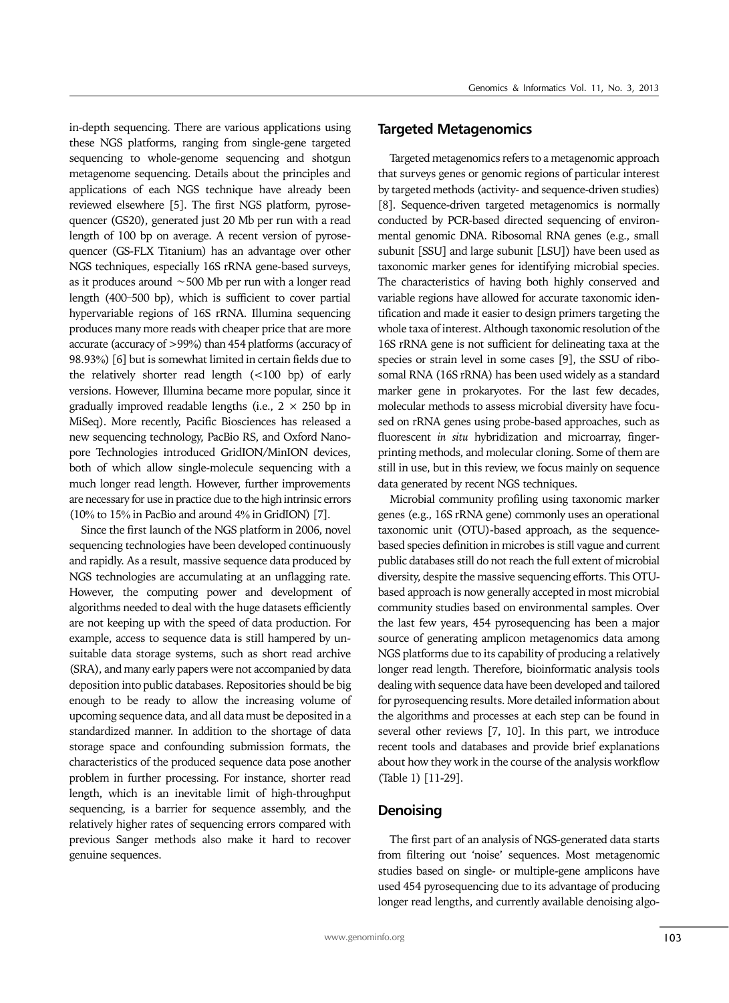in-depth sequencing. There are various applications using these NGS platforms, ranging from single-gene targeted sequencing to whole-genome sequencing and shotgun metagenome sequencing. Details about the principles and applications of each NGS technique have already been reviewed elsewhere [5]. The first NGS platform, pyrosequencer (GS20), generated just 20 Mb per run with a read length of 100 bp on average. A recent version of pyrosequencer (GS-FLX Titanium) has an advantage over other NGS techniques, especially 16S rRNA gene-based surveys, as it produces around ∼500 Mb per run with a longer read length (400-500 bp), which is sufficient to cover partial hypervariable regions of 16S rRNA. Illumina sequencing produces many more reads with cheaper price that are more accurate (accuracy of >99%) than 454 platforms (accuracy of 98.93%) [6] but is somewhat limited in certain fields due to the relatively shorter read length (<100 bp) of early versions. However, Illumina became more popular, since it gradually improved readable lengths (i.e.,  $2 \times 250$  bp in MiSeq). More recently, Pacific Biosciences has released a new sequencing technology, PacBio RS, and Oxford Nanopore Technologies introduced GridION/MinION devices, both of which allow single-molecule sequencing with a much longer read length. However, further improvements are necessary for use in practice due to the high intrinsic errors (10% to 15% in PacBio and around 4% in GridION) [7].

Since the first launch of the NGS platform in 2006, novel sequencing technologies have been developed continuously and rapidly. As a result, massive sequence data produced by NGS technologies are accumulating at an unflagging rate. However, the computing power and development of algorithms needed to deal with the huge datasets efficiently are not keeping up with the speed of data production. For example, access to sequence data is still hampered by unsuitable data storage systems, such as short read archive (SRA), and many early papers were not accompanied by data deposition into public databases. Repositories should be big enough to be ready to allow the increasing volume of upcoming sequence data, and all data must be deposited in a standardized manner. In addition to the shortage of data storage space and confounding submission formats, the characteristics of the produced sequence data pose another problem in further processing. For instance, shorter read length, which is an inevitable limit of high-throughput sequencing, is a barrier for sequence assembly, and the relatively higher rates of sequencing errors compared with previous Sanger methods also make it hard to recover genuine sequences.

### **Targeted Metagenomics**

Targeted metagenomics refers to a metagenomic approach that surveys genes or genomic regions of particular interest by targeted methods (activity- and sequence-driven studies) [8]. Sequence-driven targeted metagenomics is normally conducted by PCR-based directed sequencing of environmental genomic DNA. Ribosomal RNA genes (e.g., small subunit [SSU] and large subunit [LSU]) have been used as taxonomic marker genes for identifying microbial species. The characteristics of having both highly conserved and variable regions have allowed for accurate taxonomic identification and made it easier to design primers targeting the whole taxa of interest. Although taxonomic resolution of the 16S rRNA gene is not sufficient for delineating taxa at the species or strain level in some cases [9], the SSU of ribosomal RNA (16S rRNA) has been used widely as a standard marker gene in prokaryotes. For the last few decades, molecular methods to assess microbial diversity have focused on rRNA genes using probe-based approaches, such as fluorescent *in situ* hybridization and microarray, fingerprinting methods, and molecular cloning. Some of them are still in use, but in this review, we focus mainly on sequence data generated by recent NGS techniques.

Microbial community profiling using taxonomic marker genes (e.g., 16S rRNA gene) commonly uses an operational taxonomic unit (OTU)-based approach, as the sequencebased species definition in microbes is still vague and current public databases still do not reach the full extent of microbial diversity, despite the massive sequencing efforts. This OTUbased approach is now generally accepted in most microbial community studies based on environmental samples. Over the last few years, 454 pyrosequencing has been a major source of generating amplicon metagenomics data among NGS platforms due to its capability of producing a relatively longer read length. Therefore, bioinformatic analysis tools dealing with sequence data have been developed and tailored for pyrosequencing results. More detailed information about the algorithms and processes at each step can be found in several other reviews [7, 10]. In this part, we introduce recent tools and databases and provide brief explanations about how they work in the course of the analysis workflow (Table 1) [11-29].

#### **Denoising**

The first part of an analysis of NGS-generated data starts from filtering out 'noise' sequences. Most metagenomic studies based on single- or multiple-gene amplicons have used 454 pyrosequencing due to its advantage of producing longer read lengths, and currently available denoising algo-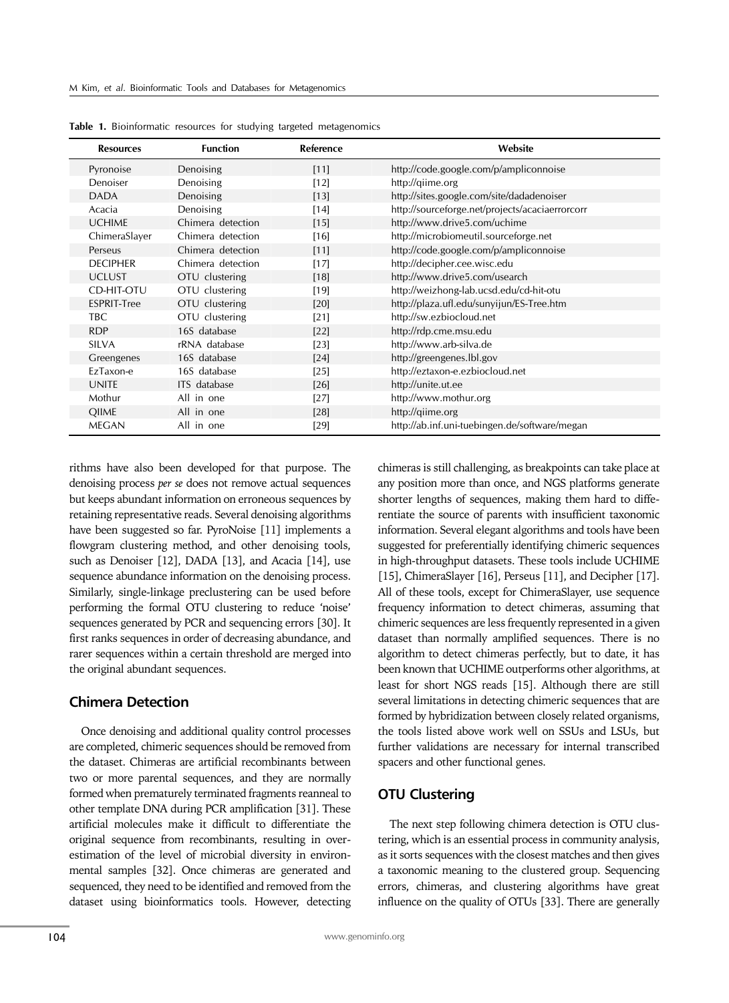| <b>Resources</b>   | <b>Function</b>   | <b>Reference</b> | Website                                         |
|--------------------|-------------------|------------------|-------------------------------------------------|
| Pyronoise          | Denoising         | [11]             | http://code.google.com/p/ampliconnoise          |
| Denoiser           | Denoising         | $[12]$           | http://qiime.org                                |
| <b>DADA</b>        | Denoising         | $[13]$           | http://sites.google.com/site/dadadenoiser       |
| Acacia             | Denoising         | $[14]$           | http://sourceforge.net/projects/acaciaerrorcorr |
| <b>UCHIME</b>      | Chimera detection | $[15]$           | http://www.drive5.com/uchime                    |
| ChimeraSlayer      | Chimera detection | [16]             | http://microbiomeutil.sourceforge.net           |
| Perseus            | Chimera detection | $[11]$           | http://code.google.com/p/ampliconnoise          |
| <b>DECIPHER</b>    | Chimera detection | [17]             | http://decipher.cee.wisc.edu                    |
| <b>UCLUST</b>      | OTU clustering    | [18]             | http://www.drive5.com/usearch                   |
| <b>CD-HIT-OTU</b>  | OTU clustering    | $[19]$           | http://weizhong-lab.ucsd.edu/cd-hit-otu         |
| <b>ESPRIT-Tree</b> | OTU clustering    | [20]             | http://plaza.ufl.edu/sunyijun/ES-Tree.htm       |
| <b>TBC</b>         | OTU clustering    | [21]             | http://sw.ezbiocloud.net                        |
| <b>RDP</b>         | 16S database      | $[22]$           | http://rdp.cme.msu.edu                          |
| <b>SILVA</b>       | rRNA database     | [23]             | http://www.arb-silva.de                         |
| Greengenes         | 16S database      | [24]             | http://greengenes.lbl.gov                       |
| EzTaxon-e          | 16S database      | $[25]$           | http://eztaxon-e.ezbiocloud.net                 |
| <b>UNITE</b>       | ITS database      | [26]             | http://unite.ut.ee                              |
| Mothur             | All in one        | $[27]$           | http://www.mothur.org                           |
| <b>QIIME</b>       | All in one        | $[28]$           | http://qiime.org                                |
| <b>MEGAN</b>       | All in one        | $[29]$           | http://ab.inf.uni-tuebingen.de/software/megan   |

**Table 1.** Bioinformatic resources for studying targeted metagenomics

rithms have also been developed for that purpose. The denoising process *per se* does not remove actual sequences but keeps abundant information on erroneous sequences by retaining representative reads. Several denoising algorithms have been suggested so far. PyroNoise [11] implements a flowgram clustering method, and other denoising tools, such as Denoiser [12], DADA [13], and Acacia [14], use sequence abundance information on the denoising process. Similarly, single-linkage preclustering can be used before performing the formal OTU clustering to reduce 'noise' sequences generated by PCR and sequencing errors [30]. It first ranks sequences in order of decreasing abundance, and rarer sequences within a certain threshold are merged into the original abundant sequences.

# **Chimera Detection**

Once denoising and additional quality control processes are completed, chimeric sequences should be removed from the dataset. Chimeras are artificial recombinants between two or more parental sequences, and they are normally formed when prematurely terminated fragments reanneal to other template DNA during PCR amplification [31]. These artificial molecules make it difficult to differentiate the original sequence from recombinants, resulting in overestimation of the level of microbial diversity in environmental samples [32]. Once chimeras are generated and sequenced, they need to be identified and removed from the dataset using bioinformatics tools. However, detecting chimeras is still challenging, as breakpoints can take place at any position more than once, and NGS platforms generate shorter lengths of sequences, making them hard to differentiate the source of parents with insufficient taxonomic information. Several elegant algorithms and tools have been suggested for preferentially identifying chimeric sequences in high-throughput datasets. These tools include UCHIME [15], ChimeraSlayer [16], Perseus [11], and Decipher [17]. All of these tools, except for ChimeraSlayer, use sequence frequency information to detect chimeras, assuming that chimeric sequences are less frequently represented in a given dataset than normally amplified sequences. There is no algorithm to detect chimeras perfectly, but to date, it has been known that UCHIME outperforms other algorithms, at least for short NGS reads [15]. Although there are still several limitations in detecting chimeric sequences that are formed by hybridization between closely related organisms, the tools listed above work well on SSUs and LSUs, but further validations are necessary for internal transcribed spacers and other functional genes.

#### **OTU Clustering**

The next step following chimera detection is OTU clustering, which is an essential process in community analysis, as it sorts sequences with the closest matches and then gives a taxonomic meaning to the clustered group. Sequencing errors, chimeras, and clustering algorithms have great influence on the quality of OTUs [33]. There are generally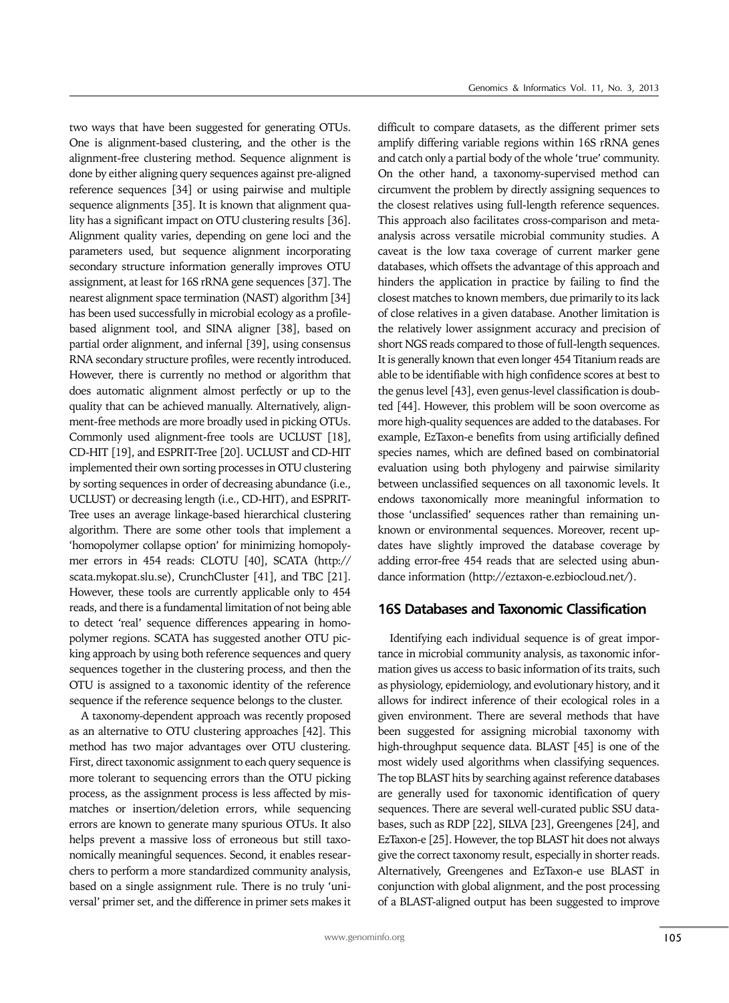two ways that have been suggested for generating OTUs. One is alignment-based clustering, and the other is the alignment-free clustering method. Sequence alignment is done by either aligning query sequences against pre-aligned reference sequences [34] or using pairwise and multiple sequence alignments [35]. It is known that alignment quality has a significant impact on OTU clustering results [36]. Alignment quality varies, depending on gene loci and the parameters used, but sequence alignment incorporating secondary structure information generally improves OTU assignment, at least for 16S rRNA gene sequences [37]. The nearest alignment space termination (NAST) algorithm [34] has been used successfully in microbial ecology as a profilebased alignment tool, and SINA aligner [38], based on partial order alignment, and infernal [39], using consensus RNA secondary structure profiles, were recently introduced. However, there is currently no method or algorithm that does automatic alignment almost perfectly or up to the quality that can be achieved manually. Alternatively, alignment-free methods are more broadly used in picking OTUs. Commonly used alignment-free tools are UCLUST [18], CD-HIT [19], and ESPRIT-Tree [20]. UCLUST and CD-HIT implemented their own sorting processes in OTU clustering by sorting sequences in order of decreasing abundance (i.e., UCLUST) or decreasing length (i.e., CD-HIT), and ESPRIT-Tree uses an average linkage-based hierarchical clustering algorithm. There are some other tools that implement a 'homopolymer collapse option' for minimizing homopolymer errors in 454 reads: CLOTU [40], SCATA [\(http://](http://scata.mykopat.slu.se)  [scata.mykopat.slu.se\), C](http://scata.mykopat.slu.se)runchCluster [41], and TBC [21]. However, these tools are currently applicable only to 454 reads, and there is a fundamental limitation of not being able to detect 'real' sequence differences appearing in homopolymer regions. SCATA has suggested another OTU picking approach by using both reference sequences and query sequences together in the clustering process, and then the OTU is assigned to a taxonomic identity of the reference sequence if the reference sequence belongs to the cluster.

A taxonomy-dependent approach was recently proposed as an alternative to OTU clustering approaches [42]. This method has two major advantages over OTU clustering. First, direct taxonomic assignment to each query sequence is more tolerant to sequencing errors than the OTU picking process, as the assignment process is less affected by mismatches or insertion/deletion errors, while sequencing errors are known to generate many spurious OTUs. It also helps prevent a massive loss of erroneous but still taxonomically meaningful sequences. Second, it enables researchers to perform a more standardized community analysis, based on a single assignment rule. There is no truly 'universal' primer set, and the difference in primer sets makes it

difficult to compare datasets, as the different primer sets amplify differing variable regions within 16S rRNA genes and catch only a partial body of the whole 'true' community. On the other hand, a taxonomy-supervised method can circumvent the problem by directly assigning sequences to the closest relatives using full-length reference sequences. This approach also facilitates cross-comparison and metaanalysis across versatile microbial community studies. A caveat is the low taxa coverage of current marker gene databases, which offsets the advantage of this approach and hinders the application in practice by failing to find the closest matches to known members, due primarily to its lack of close relatives in a given database. Another limitation is the relatively lower assignment accuracy and precision of short NGS reads compared to those of full-length sequences. It is generally known that even longer 454 Titanium reads are able to be identifiable with high confidence scores at best to the genus level [43], even genus-level classification is doubted [44]. However, this problem will be soon overcome as more high-quality sequences are added to the databases. For example, EzTaxon-e benefits from using artificially defined species names, which are defined based on combinatorial evaluation using both phylogeny and pairwise similarity between unclassified sequences on all taxonomic levels. It endows taxonomically more meaningful information to those 'unclassified' sequences rather than remaining unknown or environmental sequences. Moreover, recent updates have slightly improved the database coverage by adding error-free 454 reads that are selected using abundance information [\(http://eztaxon-e.ezbiocloud.net/\).](http://eztaxon-e.ezbiocloud.net)

#### **16S Databases and Taxonomic Classification**

Identifying each individual sequence is of great importance in microbial community analysis, as taxonomic information gives us access to basic information of its traits, such as physiology, epidemiology, and evolutionary history, and it allows for indirect inference of their ecological roles in a given environment. There are several methods that have been suggested for assigning microbial taxonomy with high-throughput sequence data. BLAST [45] is one of the most widely used algorithms when classifying sequences. The top BLAST hits by searching against reference databases are generally used for taxonomic identification of query sequences. There are several well-curated public SSU databases, such as RDP [22], SILVA [23], Greengenes [24], and EzTaxon-e [25]. However, the top BLAST hit does not always give the correct taxonomy result, especially in shorter reads. Alternatively, Greengenes and EzTaxon-e use BLAST in conjunction with global alignment, and the post processing of a BLAST-aligned output has been suggested to improve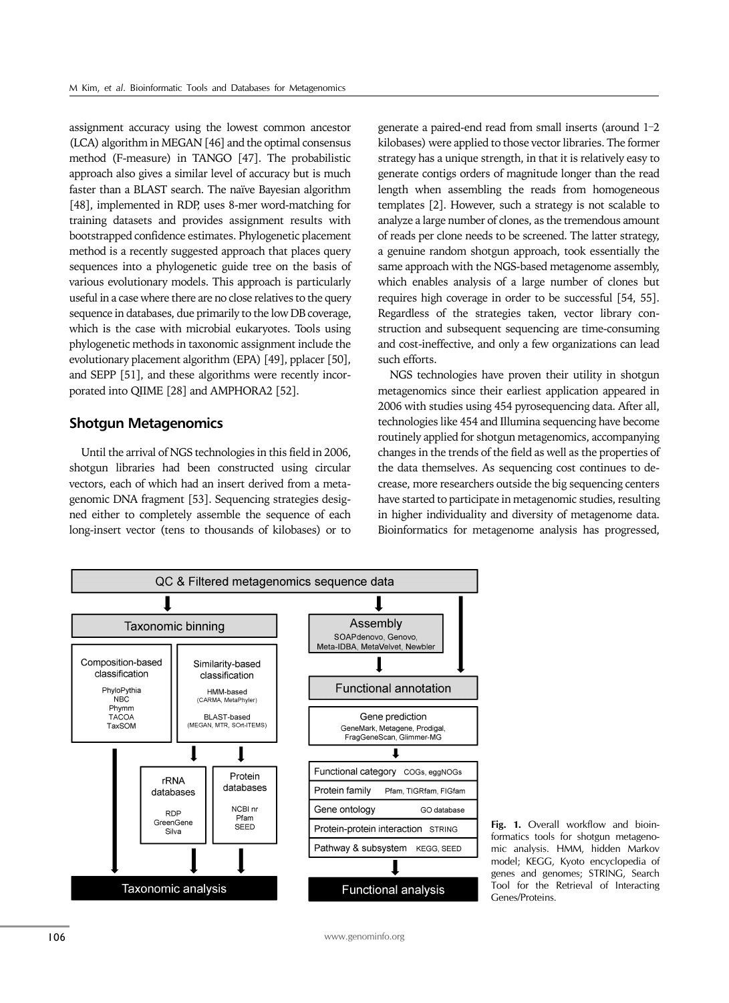assignment accuracy using the lowest common ancestor (LCA) algorithm in MEGAN [46] and the optimal consensus method (F-measure) in TANGO [47]. The probabilistic approach also gives a similar level of accuracy but is much faster than a BLAST search. The naïve Bayesian algorithm [48], implemented in RDP, uses 8-mer word-matching for training datasets and provides assignment results with bootstrapped confidence estimates. Phylogenetic placement method is a recently suggested approach that places query sequences into a phylogenetic guide tree on the basis of various evolutionary models. This approach is particularly useful in a case where there are no close relatives to the query sequence in databases, due primarily to the low DB coverage, which is the case with microbial eukaryotes. Tools using phylogenetic methods in taxonomic assignment include the evolutionary placement algorithm (EPA) [49], pplacer [50], and SEPP [51], and these algorithms were recently incorporated into QIIME [28] and AMPHORA2 [52].

# **Shotgun Metagenomics**

Until the arrival of NGS technologies in this field in 2006, shotgun libraries had been constructed using circular vectors, each of which had an insert derived from a metagenomic DNA fragment [53]. Sequencing strategies designed either to completely assemble the sequence of each long-insert vector (tens to thousands of kilobases) or to generate a paired-end read from small inserts (around 1‒2 kilobases) were applied to those vector libraries. The former strategy has a unique strength, in that it is relatively easy to generate contigs orders of magnitude longer than the read length when assembling the reads from homogeneous templates [2]. However, such a strategy is not scalable to analyze a large number of clones, as the tremendous amount of reads per clone needs to be screened. The latter strategy, a genuine random shotgun approach, took essentially the same approach with the NGS-based metagenome assembly, which enables analysis of a large number of clones but requires high coverage in order to be successful [54, 55]. Regardless of the strategies taken, vector library construction and subsequent sequencing are time-consuming and cost-ineffective, and only a few organizations can lead such efforts.

NGS technologies have proven their utility in shotgun metagenomics since their earliest application appeared in 2006 with studies using 454 pyrosequencing data. After all, technologies like 454 and Illumina sequencing have become routinely applied for shotgun metagenomics, accompanying changes in the trends of the field as well as the properties of the data themselves. As sequencing cost continues to decrease, more researchers outside the big sequencing centers have started to participate in metagenomic studies, resulting in higher individuality and diversity of metagenome data. Bioinformatics for metagenome analysis has progressed,



Fig. 1. Overall workflow and bioinformatics tools for shotgun metagenomic analysis. HMM, hidden Markov model; KEGG, Kyoto encyclopedia of genes and genomes; STRING, Search Tool for the Retrieval of Interacting Genes/Proteins.

106 [www.genominfo.org](http://www.genominfo.org)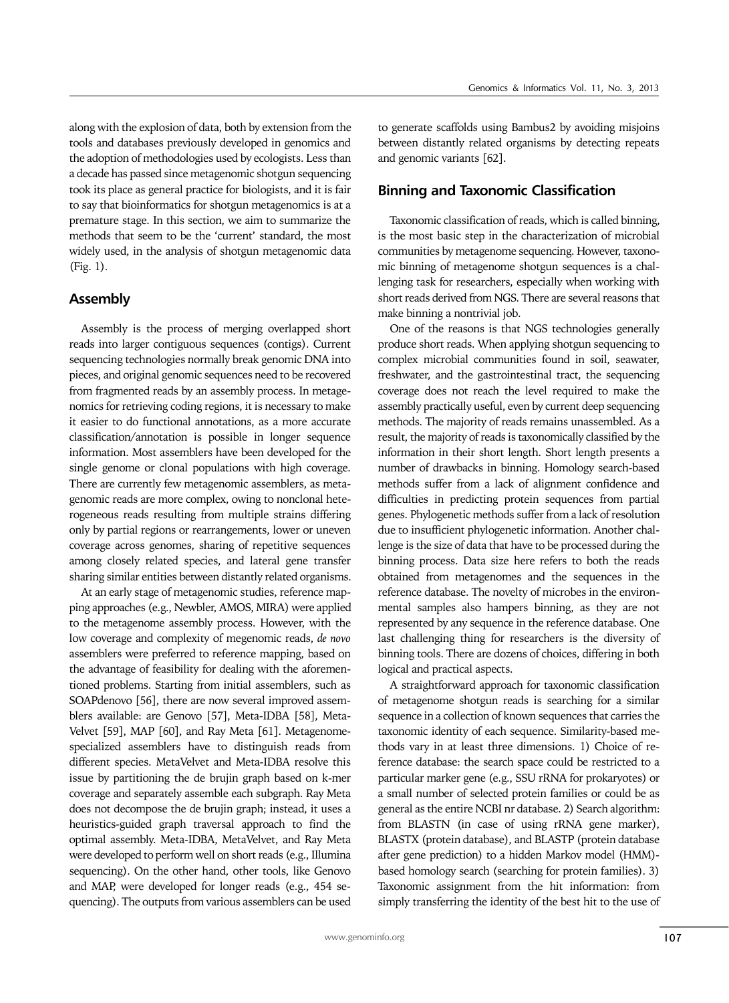along with the explosion of data, both by extension from the tools and databases previously developed in genomics and the adoption of methodologies used by ecologists. Less than a decade has passed since metagenomic shotgun sequencing took its place as general practice for biologists, and it is fair to say that bioinformatics for shotgun metagenomics is at a premature stage. In this section, we aim to summarize the methods that seem to be the 'current' standard, the most widely used, in the analysis of shotgun metagenomic data (Fig. 1).

#### **Assembly**

Assembly is the process of merging overlapped short reads into larger contiguous sequences (contigs). Current sequencing technologies normally break genomic DNA into pieces, and original genomic sequences need to be recovered from fragmented reads by an assembly process. In metagenomics for retrieving coding regions, it is necessary to make it easier to do functional annotations, as a more accurate classification/annotation is possible in longer sequence information. Most assemblers have been developed for the single genome or clonal populations with high coverage. There are currently few metagenomic assemblers, as metagenomic reads are more complex, owing to nonclonal heterogeneous reads resulting from multiple strains differing only by partial regions or rearrangements, lower or uneven coverage across genomes, sharing of repetitive sequences among closely related species, and lateral gene transfer sharing similar entities between distantly related organisms.

At an early stage of metagenomic studies, reference mapping approaches (e.g., Newbler, AMOS, MIRA) were applied to the metagenome assembly process. However, with the low coverage and complexity of megenomic reads, *de novo*  assemblers were preferred to reference mapping, based on the advantage of feasibility for dealing with the aforementioned problems. Starting from initial assemblers, such as SOAPdenovo [56], there are now several improved assemblers available: are Genovo [57], Meta-IDBA [58], Meta-Velvet [59], MAP [60], and Ray Meta [61]. Metagenomespecialized assemblers have to distinguish reads from different species. MetaVelvet and Meta-IDBA resolve this issue by partitioning the de brujin graph based on k-mer coverage and separately assemble each subgraph. Ray Meta does not decompose the de brujin graph; instead, it uses a heuristics-guided graph traversal approach to find the optimal assembly. Meta-IDBA, MetaVelvet, and Ray Meta were developed to perform well on short reads (e.g., Illumina sequencing). On the other hand, other tools, like Genovo and MAP, were developed for longer reads (e.g., 454 sequencing). The outputs from various assemblers can be used

to generate scaffolds using Bambus2 by avoiding misjoins between distantly related organisms by detecting repeats and genomic variants [62].

## **Binning and Taxonomic Classification**

Taxonomic classification of reads, which is called binning, is the most basic step in the characterization of microbial communities by metagenome sequencing. However, taxonomic binning of metagenome shotgun sequences is a challenging task for researchers, especially when working with short reads derived from NGS. There are several reasons that make binning a nontrivial job.

One of the reasons is that NGS technologies generally produce short reads. When applying shotgun sequencing to complex microbial communities found in soil, seawater, freshwater, and the gastrointestinal tract, the sequencing coverage does not reach the level required to make the assembly practically useful, even by current deep sequencing methods. The majority of reads remains unassembled. As a result, the majority of reads is taxonomically classified by the information in their short length. Short length presents a number of drawbacks in binning. Homology search-based methods suffer from a lack of alignment confidence and difficulties in predicting protein sequences from partial genes. Phylogenetic methods suffer from a lack of resolution due to insufficient phylogenetic information. Another challenge is the size of data that have to be processed during the binning process. Data size here refers to both the reads obtained from metagenomes and the sequences in the reference database. The novelty of microbes in the environmental samples also hampers binning, as they are not represented by any sequence in the reference database. One last challenging thing for researchers is the diversity of binning tools. There are dozens of choices, differing in both logical and practical aspects.

A straightforward approach for taxonomic classification of metagenome shotgun reads is searching for a similar sequence in a collection of known sequences that carries the taxonomic identity of each sequence. Similarity-based methods vary in at least three dimensions. 1) Choice of reference database: the search space could be restricted to a particular marker gene (e.g., SSU rRNA for prokaryotes) or a small number of selected protein families or could be as general as the entire NCBI nr database. 2) Search algorithm: from BLASTN (in case of using rRNA gene marker), BLASTX (protein database), and BLASTP (protein database after gene prediction) to a hidden Markov model (HMM) based homology search (searching for protein families). 3) Taxonomic assignment from the hit information: from simply transferring the identity of the best hit to the use of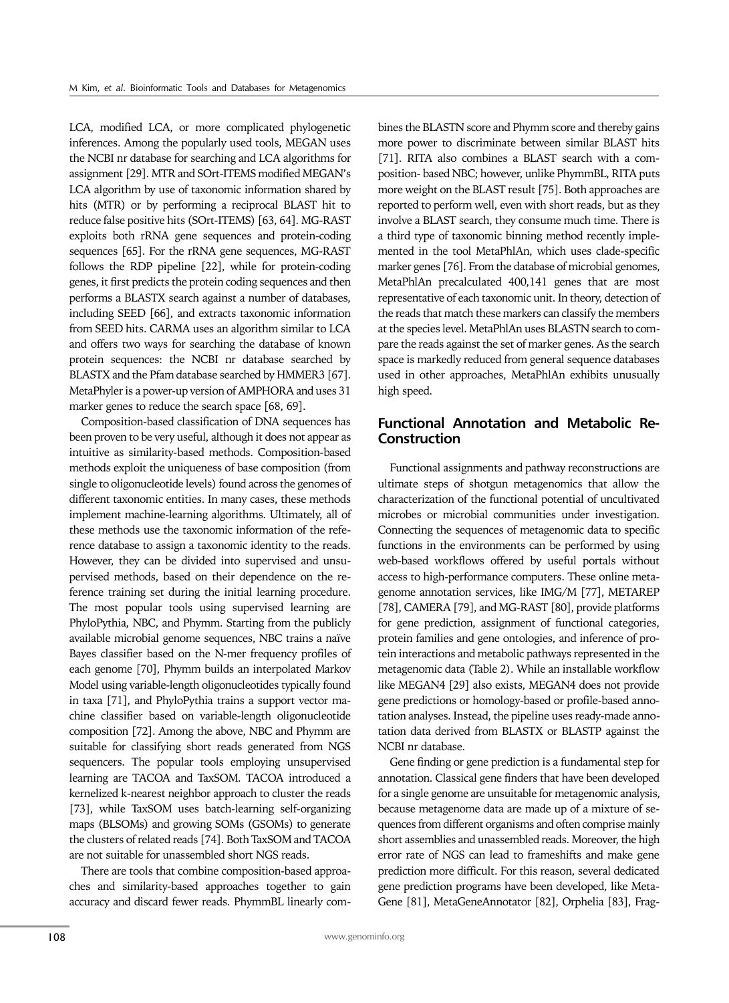LCA, modified LCA, or more complicated phylogenetic inferences. Among the popularly used tools, MEGAN uses the NCBI nr database for searching and LCA algorithms for assignment [29]. MTR and SOrt-ITEMS modified MEGAN's LCA algorithm by use of taxonomic information shared by hits (MTR) or by performing a reciprocal BLAST hit to reduce false positive hits (SOrt-ITEMS) [63, 64]. MG-RAST exploits both rRNA gene sequences and protein-coding sequences [65]. For the rRNA gene sequences, MG-RAST follows the RDP pipeline [22], while for protein-coding genes, it first predicts the protein coding sequences and then performs a BLASTX search against a number of databases, including SEED [66], and extracts taxonomic information from SEED hits. CARMA uses an algorithm similar to LCA and offers two ways for searching the database of known protein sequences: the NCBI nr database searched by BLASTX and the Pfam database searched by HMMER3 [67]. MetaPhyler is a power-up version of AMPHORA and uses 31 marker genes to reduce the search space [68, 69].

Composition-based classification of DNA sequences has been proven to be very useful, although it does not appear as intuitive as similarity-based methods. Composition-based methods exploit the uniqueness of base composition (from single to oligonucleotide levels) found across the genomes of different taxonomic entities. In many cases, these methods implement machine-learning algorithms. Ultimately, all of these methods use the taxonomic information of the reference database to assign a taxonomic identity to the reads. However, they can be divided into supervised and unsupervised methods, based on their dependence on the reference training set during the initial learning procedure. The most popular tools using supervised learning are PhyloPythia, NBC, and Phymm. Starting from the publicly available microbial genome sequences, NBC trains a naïve Bayes classifier based on the N-mer frequency profiles of each genome [70], Phymm builds an interpolated Markov Model using variable-length oligonucleotides typically found in taxa [71], and PhyloPythia trains a support vector machine classifier based on variable-length oligonucleotide composition [72]. Among the above, NBC and Phymm are suitable for classifying short reads generated from NGS sequencers. The popular tools employing unsupervised learning are TACOA and TaxSOM. TACOA introduced a kernelized k-nearest neighbor approach to cluster the reads [73], while TaxSOM uses batch-learning self-organizing maps (BLSOMs) and growing SOMs (GSOMs) to generate the clusters of related reads [74]. Both TaxSOM and TACOA are not suitable for unassembled short NGS reads.

There are tools that combine composition-based approaches and similarity-based approaches together to gain accuracy and discard fewer reads. PhymmBL linearly combines the BLASTN score and Phymm score and thereby gains more power to discriminate between similar BLAST hits [71]. RITA also combines a BLAST search with a composition- based NBC; however, unlike PhymmBL, RITA puts more weight on the BLAST result [75]. Both approaches are reported to perform well, even with short reads, but as they involve a BLAST search, they consume much time. There is a third type of taxonomic binning method recently implemented in the tool MetaPhlAn, which uses clade-specific marker genes [76]. From the database of microbial genomes, MetaPhlAn precalculated 400,141 genes that are most representative of each taxonomic unit. In theory, detection of the reads that match these markers can classify the members at the species level. MetaPhlAn uses BLASTN search to compare the reads against the set of marker genes. As the search space is markedly reduced from general sequence databases used in other approaches, MetaPhlAn exhibits unusually high speed.

# **Functional Annotation and Metabolic Re-Construction**

Functional assignments and pathway reconstructions are ultimate steps of shotgun metagenomics that allow the characterization of the functional potential of uncultivated microbes or microbial communities under investigation. Connecting the sequences of metagenomic data to specific functions in the environments can be performed by using web-based workflows offered by useful portals without access to high-performance computers. These online metagenome annotation services, like IMG/M [77], METAREP [78], CAMERA [79], and MG-RAST [80], provide platforms for gene prediction, assignment of functional categories, protein families and gene ontologies, and inference of protein interactions and metabolic pathways represented in the metagenomic data (Table 2). While an installable workflow like MEGAN4 [29] also exists, MEGAN4 does not provide gene predictions or homology-based or profile-based annotation analyses. Instead, the pipeline uses ready-made annotation data derived from BLASTX or BLASTP against the NCBI nr database.

Gene finding or gene prediction is a fundamental step for annotation. Classical gene finders that have been developed for a single genome are unsuitable for metagenomic analysis, because metagenome data are made up of a mixture of sequences from different organisms and often comprise mainly short assemblies and unassembled reads. Moreover, the high error rate of NGS can lead to frameshifts and make gene prediction more difficult. For this reason, several dedicated gene prediction programs have been developed, like Meta-Gene [81], MetaGeneAnnotator [82], Orphelia [83], Frag-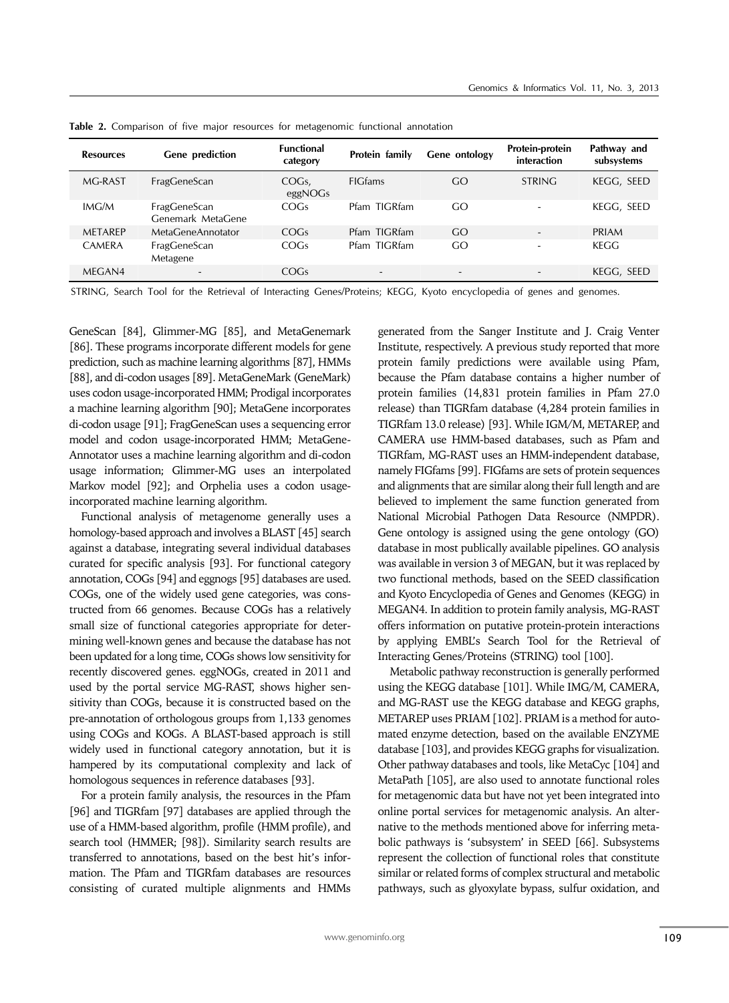| <b>Resources</b> | Gene prediction                   | <b>Functional</b><br>category | Protein family           | Gene ontology            | Protein-protein<br>interaction | Pathway and<br>subsystems |
|------------------|-----------------------------------|-------------------------------|--------------------------|--------------------------|--------------------------------|---------------------------|
| MG-RAST          | FragGeneScan                      | COG <sub>s</sub><br>eggNOGs   | <b>FIGfams</b>           | GO                       | <b>STRING</b>                  | KEGG, SEED                |
| IMG/M            | FragGeneScan<br>Genemark MetaGene | COGs                          | Pfam TIGRfam             | GO                       |                                | KEGG, SEED                |
| <b>METAREP</b>   | <b>MetaGeneAnnotator</b>          | COGs                          | Pfam TIGRfam             | GO                       |                                | PRIAM                     |
| <b>CAMERA</b>    | FragGeneScan<br>Metagene          | COGs                          | Pfam TIGRfam             | GO                       | $\overline{\phantom{0}}$       | KEGG                      |
| MEGAN4           | $\overline{\phantom{0}}$          | COGs                          | $\overline{\phantom{0}}$ | $\overline{\phantom{0}}$ |                                | KEGG, SEED                |

**Table 2.** Comparison of five major resources for metagenomic functional annotation

STRING, Search Tool for the Retrieval of Interacting Genes/Proteins; KEGG, Kyoto encyclopedia of genes and genomes.

GeneScan [84], Glimmer-MG [85], and MetaGenemark [86]. These programs incorporate different models for gene prediction, such as machine learning algorithms [87], HMMs [88], and di-codon usages [89]. MetaGeneMark (GeneMark) uses codon usage-incorporated HMM; Prodigal incorporates a machine learning algorithm [90]; MetaGene incorporates di-codon usage [91]; FragGeneScan uses a sequencing error model and codon usage-incorporated HMM; MetaGene-Annotator uses a machine learning algorithm and di-codon usage information; Glimmer-MG uses an interpolated Markov model [92]; and Orphelia uses a codon usageincorporated machine learning algorithm.

Functional analysis of metagenome generally uses a homology-based approach and involves a BLAST [45] search against a database, integrating several individual databases curated for specific analysis [93]. For functional category annotation, COGs [94] and eggnogs [95] databases are used. COGs, one of the widely used gene categories, was constructed from 66 genomes. Because COGs has a relatively small size of functional categories appropriate for determining well-known genes and because the database has not been updated for a long time, COGs shows low sensitivity for recently discovered genes. eggNOGs, created in 2011 and used by the portal service MG-RAST, shows higher sensitivity than COGs, because it is constructed based on the pre-annotation of orthologous groups from 1,133 genomes using COGs and KOGs. A BLAST-based approach is still widely used in functional category annotation, but it is hampered by its computational complexity and lack of homologous sequences in reference databases [93].

For a protein family analysis, the resources in the Pfam [96] and TIGRfam [97] databases are applied through the use of a HMM-based algorithm, profile (HMM profile), and search tool (HMMER; [98]). Similarity search results are transferred to annotations, based on the best hit's information. The Pfam and TIGRfam databases are resources consisting of curated multiple alignments and HMMs

generated from the Sanger Institute and J. Craig Venter Institute, respectively. A previous study reported that more protein family predictions were available using Pfam, because the Pfam database contains a higher number of protein families (14,831 protein families in Pfam 27.0 release) than TIGRfam database (4,284 protein families in TIGRfam 13.0 release) [93]. While IGM/M, METAREP, and CAMERA use HMM-based databases, such as Pfam and TIGRfam, MG-RAST uses an HMM-independent database, namely FIGfams [99]. FIGfams are sets of protein sequences and alignments that are similar along their full length and are believed to implement the same function generated from National Microbial Pathogen Data Resource (NMPDR). Gene ontology is assigned using the gene ontology (GO) database in most publically available pipelines. GO analysis was available in version 3 of MEGAN, but it was replaced by two functional methods, based on the SEED classification and Kyoto Encyclopedia of Genes and Genomes (KEGG) in MEGAN4. In addition to protein family analysis, MG-RAST offers information on putative protein-protein interactions by applying EMBL's Search Tool for the Retrieval of Interacting Genes/Proteins (STRING) tool [100].

Metabolic pathway reconstruction is generally performed using the KEGG database [101]. While IMG/M, CAMERA, and MG-RAST use the KEGG database and KEGG graphs, METAREP uses PRIAM [102]. PRIAM is a method for automated enzyme detection, based on the available ENZYME database [103], and provides KEGG graphs for visualization. Other pathway databases and tools, like MetaCyc [104] and MetaPath [105], are also used to annotate functional roles for metagenomic data but have not yet been integrated into online portal services for metagenomic analysis. An alternative to the methods mentioned above for inferring metabolic pathways is 'subsystem' in SEED [66]. Subsystems represent the collection of functional roles that constitute similar or related forms of complex structural and metabolic pathways, such as glyoxylate bypass, sulfur oxidation, and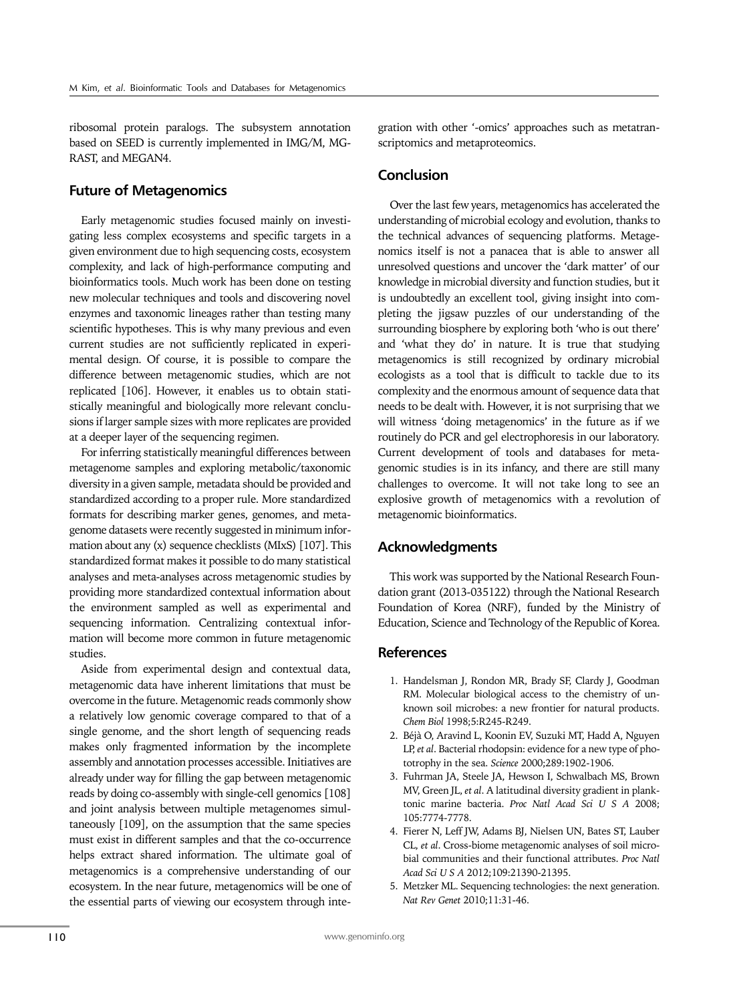ribosomal protein paralogs. The subsystem annotation based on SEED is currently implemented in IMG/M, MG-RAST, and MEGAN4.

#### **Future of Metagenomics**

Early metagenomic studies focused mainly on investigating less complex ecosystems and specific targets in a given environment due to high sequencing costs, ecosystem complexity, and lack of high-performance computing and bioinformatics tools. Much work has been done on testing new molecular techniques and tools and discovering novel enzymes and taxonomic lineages rather than testing many scientific hypotheses. This is why many previous and even current studies are not sufficiently replicated in experimental design. Of course, it is possible to compare the difference between metagenomic studies, which are not replicated [106]. However, it enables us to obtain statistically meaningful and biologically more relevant conclusions if larger sample sizes with more replicates are provided at a deeper layer of the sequencing regimen.

For inferring statistically meaningful differences between metagenome samples and exploring metabolic/taxonomic diversity in a given sample, metadata should be provided and standardized according to a proper rule. More standardized formats for describing marker genes, genomes, and metagenome datasets were recently suggested in minimum information about any (x) sequence checklists (MIxS) [107]. This standardized format makes it possible to do many statistical analyses and meta-analyses across metagenomic studies by providing more standardized contextual information about the environment sampled as well as experimental and sequencing information. Centralizing contextual information will become more common in future metagenomic studies.

Aside from experimental design and contextual data, metagenomic data have inherent limitations that must be overcome in the future. Metagenomic reads commonly show a relatively low genomic coverage compared to that of a single genome, and the short length of sequencing reads makes only fragmented information by the incomplete assembly and annotation processes accessible. Initiatives are already under way for filling the gap between metagenomic reads by doing co-assembly with single-cell genomics [108] and joint analysis between multiple metagenomes simultaneously [109], on the assumption that the same species must exist in different samples and that the co-occurrence helps extract shared information. The ultimate goal of metagenomics is a comprehensive understanding of our ecosystem. In the near future, metagenomics will be one of the essential parts of viewing our ecosystem through integration with other '-omics' approaches such as metatranscriptomics and metaproteomics.

# **Conclusion**

Over the last few years, metagenomics has accelerated the understanding of microbial ecology and evolution, thanks to the technical advances of sequencing platforms. Metagenomics itself is not a panacea that is able to answer all unresolved questions and uncover the 'dark matter' of our knowledge in microbial diversity and function studies, but it is undoubtedly an excellent tool, giving insight into completing the jigsaw puzzles of our understanding of the surrounding biosphere by exploring both 'who is out there' and 'what they do' in nature. It is true that studying metagenomics is still recognized by ordinary microbial ecologists as a tool that is difficult to tackle due to its complexity and the enormous amount of sequence data that needs to be dealt with. However, it is not surprising that we will witness 'doing metagenomics' in the future as if we routinely do PCR and gel electrophoresis in our laboratory. Current development of tools and databases for metagenomic studies is in its infancy, and there are still many challenges to overcome. It will not take long to see an explosive growth of metagenomics with a revolution of metagenomic bioinformatics.

## **Acknowledgments**

This work was supported by the National Research Foundation grant (2013-035122) through the National Research Foundation of Korea (NRF), funded by the Ministry of Education, Science and Technology of the Republic of Korea.

## **References**

- 1. Handelsman J, Rondon MR, Brady SF, Clardy J, Goodman RM. Molecular biological access to the chemistry of unknown soil microbes: a new frontier for natural products. *Chem Biol* 1998;5:R245-R249.
- 2. Béjà O, Aravind L, Koonin EV, Suzuki MT, Hadd A, Nguyen LP, *et al*. Bacterial rhodopsin: evidence for a new type of phototrophy in the sea. *Science* 2000;289:1902-1906.
- 3. Fuhrman JA, Steele JA, Hewson I, Schwalbach MS, Brown MV, Green JL, *et al*. A latitudinal diversity gradient in planktonic marine bacteria. *Proc Natl Acad Sci U S A* 2008; 105:7774-7778.
- 4. Fierer N, Leff JW, Adams BJ, Nielsen UN, Bates ST, Lauber CL, *et al*. Cross-biome metagenomic analyses of soil microbial communities and their functional attributes. *Proc Natl Acad Sci U S A* 2012;109:21390-21395.
- 5. Metzker ML. Sequencing technologies: the next generation. *Nat Rev Genet* 2010;11:31-46.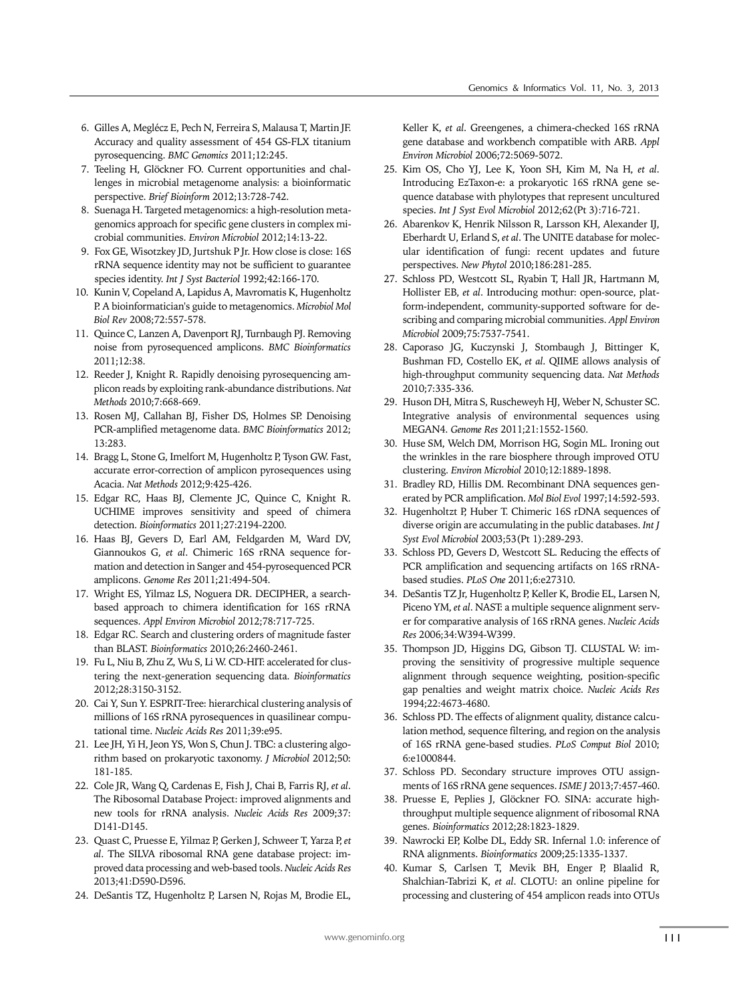- 6. Gilles A, Meglécz E, Pech N, Ferreira S, Malausa T, Martin JF. Accuracy and quality assessment of 454 GS-FLX titanium pyrosequencing. *BMC Genomics* 2011;12:245.
- 7. Teeling H, Glöckner FO. Current opportunities and challenges in microbial metagenome analysis: a bioinformatic perspective. *Brief Bioinform* 2012;13:728-742.
- 8. Suenaga H. Targeted metagenomics: a high-resolution metagenomics approach for specific gene clusters in complex microbial communities. *Environ Microbiol* 2012;14:13-22.
- 9. Fox GE, Wisotzkey JD, Jurtshuk P Jr. How close is close: 16S rRNA sequence identity may not be sufficient to guarantee species identity. *Int J Syst Bacteriol* 1992;42:166-170.
- 10. Kunin V, Copeland A, Lapidus A, Mavromatis K, Hugenholtz P. A bioinformatician's guide to metagenomics. *Microbiol Mol Biol Rev* 2008;72:557-578.
- 11. Quince C, Lanzen A, Davenport RJ, Turnbaugh PJ. Removing noise from pyrosequenced amplicons. *BMC Bioinformatics*  2011;12:38.
- 12. Reeder J, Knight R. Rapidly denoising pyrosequencing amplicon reads by exploiting rank-abundance distributions. *Nat Methods* 2010;7:668-669.
- 13. Rosen MJ, Callahan BJ, Fisher DS, Holmes SP. Denoising PCR-amplified metagenome data. *BMC Bioinformatics* 2012; 13:283.
- 14. Bragg L, Stone G, Imelfort M, Hugenholtz P, Tyson GW. Fast, accurate error-correction of amplicon pyrosequences using Acacia. *Nat Methods* 2012;9:425-426.
- 15. Edgar RC, Haas BJ, Clemente JC, Quince C, Knight R. UCHIME improves sensitivity and speed of chimera detection. *Bioinformatics* 2011;27:2194-2200.
- 16. Haas BJ, Gevers D, Earl AM, Feldgarden M, Ward DV, Giannoukos G, *et al*. Chimeric 16S rRNA sequence formation and detection in Sanger and 454-pyrosequenced PCR amplicons. *Genome Res* 2011;21:494-504.
- 17. Wright ES, Yilmaz LS, Noguera DR. DECIPHER, a searchbased approach to chimera identification for 16S rRNA sequences. *Appl Environ Microbiol* 2012;78:717-725.
- 18. Edgar RC. Search and clustering orders of magnitude faster than BLAST. *Bioinformatics* 2010;26:2460-2461.
- 19. Fu L, Niu B, Zhu Z, Wu S, Li W. CD-HIT: accelerated for clustering the next-generation sequencing data. *Bioinformatics*  2012;28:3150-3152.
- 20. Cai Y, Sun Y. ESPRIT-Tree: hierarchical clustering analysis of millions of 16S rRNA pyrosequences in quasilinear computational time. *Nucleic Acids Res* 2011;39:e95.
- 21. Lee JH, Yi H, Jeon YS, Won S, Chun J. TBC: a clustering algorithm based on prokaryotic taxonomy. *J Microbiol* 2012;50: 181-185.
- 22. Cole JR, Wang Q, Cardenas E, Fish J, Chai B, Farris RJ, *et al*. The Ribosomal Database Project: improved alignments and new tools for rRNA analysis. *Nucleic Acids Res* 2009;37: D141-D145.
- 23. Quast C, Pruesse E, Yilmaz P, Gerken J, Schweer T, Yarza P, *et al*. The SILVA ribosomal RNA gene database project: improved data processing and web-based tools. *Nucleic Acids Res*  2013;41:D590-D596.
- 24. DeSantis TZ, Hugenholtz P, Larsen N, Rojas M, Brodie EL,

Keller K, *et al*. Greengenes, a chimera-checked 16S rRNA gene database and workbench compatible with ARB. *Appl Environ Microbiol* 2006;72:5069-5072.

- 25. Kim OS, Cho YJ, Lee K, Yoon SH, Kim M, Na H, *et al*. Introducing EzTaxon-e: a prokaryotic 16S rRNA gene sequence database with phylotypes that represent uncultured species. *Int J Syst Evol Microbiol* 2012;62(Pt 3):716-721.
- 26. Abarenkov K, Henrik Nilsson R, Larsson KH, Alexander IJ, Eberhardt U, Erland S, *et al*. The UNITE database for molecular identification of fungi: recent updates and future perspectives. *New Phytol* 2010;186:281-285.
- 27. Schloss PD, Westcott SL, Ryabin T, Hall JR, Hartmann M, Hollister EB, *et al*. Introducing mothur: open-source, platform-independent, community-supported software for describing and comparing microbial communities. *Appl Environ Microbiol* 2009;75:7537-7541.
- 28. Caporaso JG, Kuczynski J, Stombaugh J, Bittinger K, Bushman FD, Costello EK, *et al*. QIIME allows analysis of high-throughput community sequencing data. *Nat Methods*  2010;7:335-336.
- 29. Huson DH, Mitra S, Ruscheweyh HJ, Weber N, Schuster SC. Integrative analysis of environmental sequences using MEGAN4. *Genome Res* 2011;21:1552-1560.
- 30. Huse SM, Welch DM, Morrison HG, Sogin ML. Ironing out the wrinkles in the rare biosphere through improved OTU clustering. *Environ Microbiol* 2010;12:1889-1898.
- 31. Bradley RD, Hillis DM. Recombinant DNA sequences generated by PCR amplification. *Mol Biol Evol* 1997;14:592-593.
- 32. Hugenholtzt P, Huber T. Chimeric 16S rDNA sequences of diverse origin are accumulating in the public databases. *Int J Syst Evol Microbiol* 2003;53(Pt 1):289-293.
- 33. Schloss PD, Gevers D, Westcott SL. Reducing the effects of PCR amplification and sequencing artifacts on 16S rRNAbased studies. *PLoS One* 2011;6:e27310.
- 34. DeSantis TZ Jr, Hugenholtz P, Keller K, Brodie EL, Larsen N, Piceno YM, *et al*. NAST: a multiple sequence alignment server for comparative analysis of 16S rRNA genes. *Nucleic Acids Res* 2006;34:W394-W399.
- 35. Thompson JD, Higgins DG, Gibson TJ. CLUSTAL W: improving the sensitivity of progressive multiple sequence alignment through sequence weighting, position-specific gap penalties and weight matrix choice. *Nucleic Acids Res*  1994;22:4673-4680.
- 36. Schloss PD. The effects of alignment quality, distance calculation method, sequence filtering, and region on the analysis of 16S rRNA gene-based studies. *PLoS Comput Biol* 2010; 6:e1000844.
- 37. Schloss PD. Secondary structure improves OTU assignments of 16S rRNA gene sequences. *ISME J* 2013;7:457-460.
- 38. Pruesse E, Peplies J, Glöckner FO. SINA: accurate highthroughput multiple sequence alignment of ribosomal RNA genes. *Bioinformatics* 2012;28:1823-1829.
- 39. Nawrocki EP, Kolbe DL, Eddy SR. Infernal 1.0: inference of RNA alignments. *Bioinformatics* 2009;25:1335-1337.
- 40. Kumar S, Carlsen T, Mevik BH, Enger P, Blaalid R, Shalchian-Tabrizi K, *et al*. CLOTU: an online pipeline for processing and clustering of 454 amplicon reads into OTUs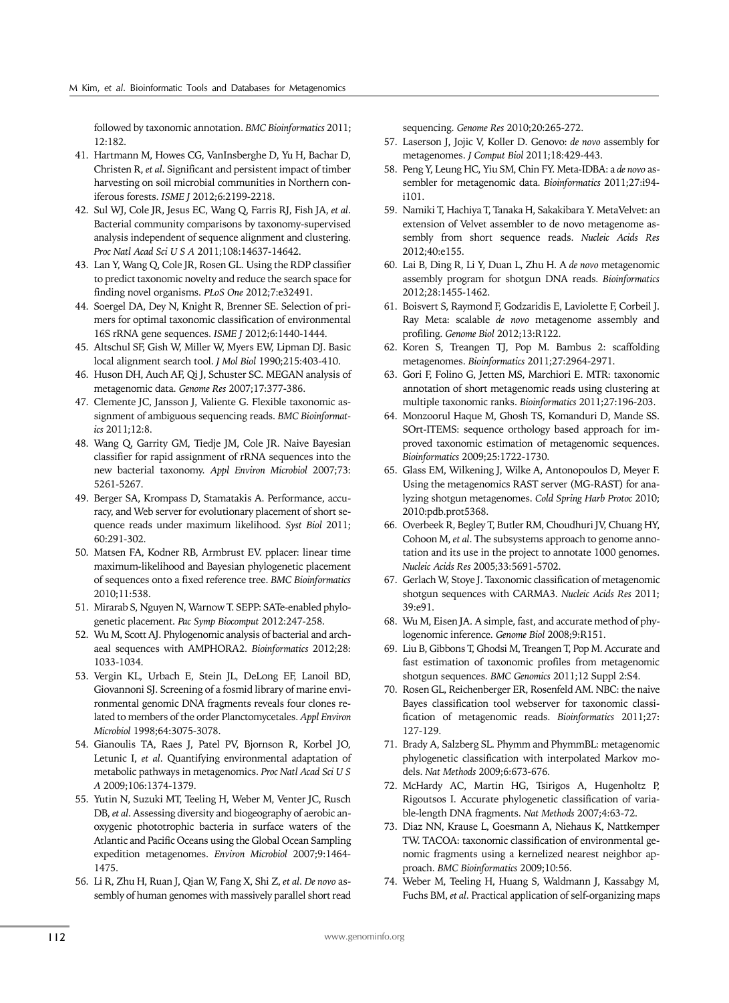followed by taxonomic annotation. *BMC Bioinformatics* 2011; 12:182.

- 41. Hartmann M, Howes CG, VanInsberghe D, Yu H, Bachar D, Christen R, *et al*. Significant and persistent impact of timber harvesting on soil microbial communities in Northern coniferous forests. *ISME J* 2012;6:2199-2218.
- 42. Sul WJ, Cole JR, Jesus EC, Wang Q, Farris RJ, Fish JA, *et al*. Bacterial community comparisons by taxonomy-supervised analysis independent of sequence alignment and clustering. *Proc Natl Acad Sci U S A* 2011;108:14637-14642.
- 43. Lan Y, Wang Q, Cole JR, Rosen GL. Using the RDP classifier to predict taxonomic novelty and reduce the search space for finding novel organisms. *PLoS One* 2012;7:e32491.
- 44. Soergel DA, Dey N, Knight R, Brenner SE. Selection of primers for optimal taxonomic classification of environmental 16S rRNA gene sequences. *ISME J* 2012;6:1440-1444.
- 45. Altschul SF, Gish W, Miller W, Myers EW, Lipman DJ. Basic local alignment search tool. *J Mol Biol* 1990;215:403-410.
- 46. Huson DH, Auch AF, Qi J, Schuster SC. MEGAN analysis of metagenomic data. *Genome Res* 2007;17:377-386.
- 47. Clemente JC, Jansson J, Valiente G. Flexible taxonomic assignment of ambiguous sequencing reads. *BMC Bioinformatics* 2011;12:8.
- 48. Wang Q, Garrity GM, Tiedje JM, Cole JR. Naive Bayesian classifier for rapid assignment of rRNA sequences into the new bacterial taxonomy. *Appl Environ Microbiol* 2007;73: 5261-5267.
- 49. Berger SA, Krompass D, Stamatakis A. Performance, accuracy, and Web server for evolutionary placement of short sequence reads under maximum likelihood. *Syst Biol* 2011; 60:291-302.
- 50. Matsen FA, Kodner RB, Armbrust EV. pplacer: linear time maximum-likelihood and Bayesian phylogenetic placement of sequences onto a fixed reference tree. *BMC Bioinformatics*  2010;11:538.
- 51. Mirarab S, Nguyen N, Warnow T. SEPP: SATe-enabled phylogenetic placement. *Pac Symp Biocomput* 2012:247-258.
- 52. Wu M, Scott AJ. Phylogenomic analysis of bacterial and archaeal sequences with AMPHORA2. *Bioinformatics* 2012;28: 1033-1034.
- 53. Vergin KL, Urbach E, Stein JL, DeLong EF, Lanoil BD, Giovannoni SJ. Screening of a fosmid library of marine environmental genomic DNA fragments reveals four clones related to members of the order Planctomycetales. *Appl Environ Microbiol* 1998;64:3075-3078.
- 54. Gianoulis TA, Raes J, Patel PV, Bjornson R, Korbel JO, Letunic I, *et al*. Quantifying environmental adaptation of metabolic pathways in metagenomics. *Proc Natl Acad Sci U S A* 2009;106:1374-1379.
- 55. Yutin N, Suzuki MT, Teeling H, Weber M, Venter JC, Rusch DB, *et al*. Assessing diversity and biogeography of aerobic anoxygenic phototrophic bacteria in surface waters of the Atlantic and Pacific Oceans using the Global Ocean Sampling expedition metagenomes. *Environ Microbiol* 2007;9:1464- 1475.
- 56. Li R, Zhu H, Ruan J, Qian W, Fang X, Shi Z, *et al*. *De novo* assembly of human genomes with massively parallel short read

sequencing. *Genome Res* 2010;20:265-272.

- 57. Laserson J, Jojic V, Koller D. Genovo: *de novo* assembly for metagenomes. *J Comput Biol* 2011;18:429-443.
- 58. Peng Y, Leung HC, Yiu SM, Chin FY. Meta-IDBA: a *de novo* assembler for metagenomic data. *Bioinformatics* 2011;27:i94 i101.
- 59. Namiki T, Hachiya T, Tanaka H, Sakakibara Y. MetaVelvet: an extension of Velvet assembler to de novo metagenome assembly from short sequence reads. *Nucleic Acids Res* 2012;40:e155.
- 60. Lai B, Ding R, Li Y, Duan L, Zhu H. A *de novo* metagenomic assembly program for shotgun DNA reads. *Bioinformatics*  2012;28:1455-1462.
- 61. Boisvert S, Raymond F, Godzaridis E, Laviolette F, Corbeil J. Ray Meta: scalable *de novo* metagenome assembly and profiling. *Genome Biol* 2012;13:R122.
- 62. Koren S, Treangen TJ, Pop M. Bambus 2: scaffolding metagenomes. *Bioinformatics* 2011;27:2964-2971.
- 63. Gori F, Folino G, Jetten MS, Marchiori E. MTR: taxonomic annotation of short metagenomic reads using clustering at multiple taxonomic ranks. *Bioinformatics* 2011;27:196-203.
- 64. Monzoorul Haque M, Ghosh TS, Komanduri D, Mande SS. SOrt-ITEMS: sequence orthology based approach for improved taxonomic estimation of metagenomic sequences. *Bioinformatics* 2009;25:1722-1730.
- 65. Glass EM, Wilkening J, Wilke A, Antonopoulos D, Meyer F. Using the metagenomics RAST server (MG-RAST) for analyzing shotgun metagenomes. *Cold Spring Harb Protoc* 2010; 2010:pdb.prot5368.
- 66. Overbeek R, Begley T, Butler RM, Choudhuri JV, Chuang HY, Cohoon M, *et al*. The subsystems approach to genome annotation and its use in the project to annotate 1000 genomes. *Nucleic Acids Res* 2005;33:5691-5702.
- 67. Gerlach W, Stoye J. Taxonomic classification of metagenomic shotgun sequences with CARMA3. *Nucleic Acids Res* 2011; 39:e91.
- 68. Wu M, Eisen JA. A simple, fast, and accurate method of phylogenomic inference. *Genome Biol* 2008;9:R151.
- 69. Liu B, Gibbons T, Ghodsi M, Treangen T, Pop M. Accurate and fast estimation of taxonomic profiles from metagenomic shotgun sequences. *BMC Genomics* 2011;12 Suppl 2:S4.
- 70. Rosen GL, Reichenberger ER, Rosenfeld AM. NBC: the naive Bayes classification tool webserver for taxonomic classification of metagenomic reads. *Bioinformatics* 2011;27: 127-129.
- 71. Brady A, Salzberg SL. Phymm and PhymmBL: metagenomic phylogenetic classification with interpolated Markov models. *Nat Methods* 2009;6:673-676.
- 72. McHardy AC, Martin HG, Tsirigos A, Hugenholtz P, Rigoutsos I. Accurate phylogenetic classification of variable-length DNA fragments. *Nat Methods* 2007;4:63-72.
- 73. Diaz NN, Krause L, Goesmann A, Niehaus K, Nattkemper TW. TACOA: taxonomic classification of environmental genomic fragments using a kernelized nearest neighbor approach. *BMC Bioinformatics* 2009;10:56.
- 74. Weber M, Teeling H, Huang S, Waldmann J, Kassabgy M, Fuchs BM, *et al*. Practical application of self-organizing maps